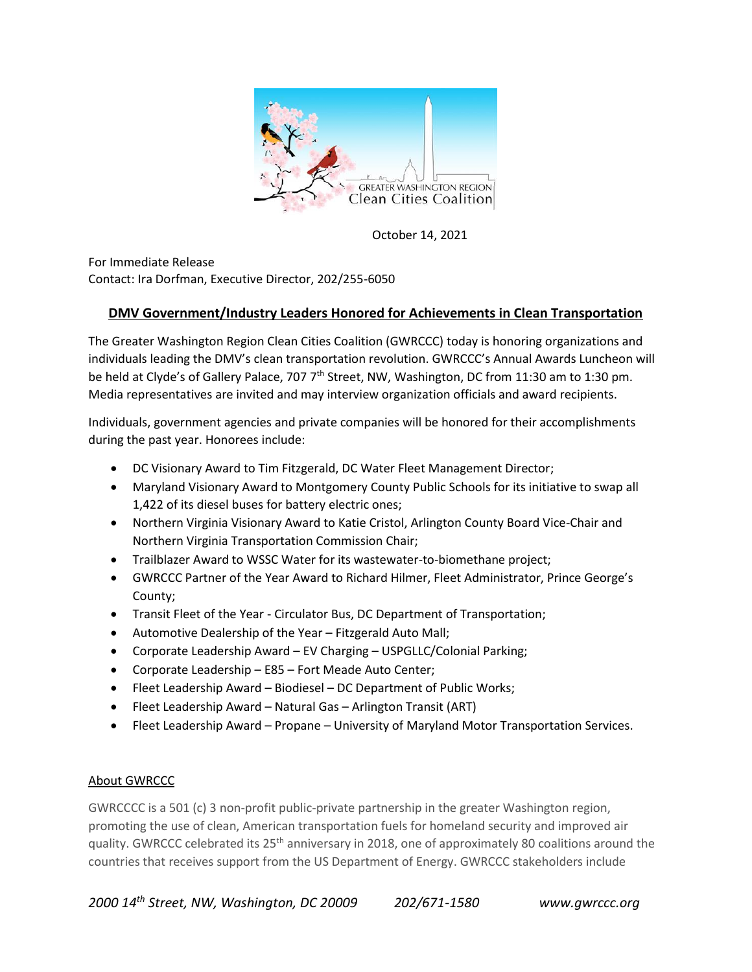

October 14, 2021

For Immediate Release Contact: Ira Dorfman, Executive Director, 202/255-6050

## **DMV Government/Industry Leaders Honored for Achievements in Clean Transportation**

The Greater Washington Region Clean Cities Coalition (GWRCCC) today is honoring organizations and individuals leading the DMV's clean transportation revolution. GWRCCC's Annual Awards Luncheon will be held at Clyde's of Gallery Palace, 707 7<sup>th</sup> Street, NW, Washington, DC from 11:30 am to 1:30 pm. Media representatives are invited and may interview organization officials and award recipients.

Individuals, government agencies and private companies will be honored for their accomplishments during the past year. Honorees include:

- DC Visionary Award to Tim Fitzgerald, DC Water Fleet Management Director;
- Maryland Visionary Award to Montgomery County Public Schools for its initiative to swap all 1,422 of its diesel buses for battery electric ones;
- Northern Virginia Visionary Award to Katie Cristol, Arlington County Board Vice-Chair and Northern Virginia Transportation Commission Chair;
- Trailblazer Award to WSSC Water for its wastewater-to-biomethane project;
- GWRCCC Partner of the Year Award to Richard Hilmer, Fleet Administrator, Prince George's County;
- Transit Fleet of the Year Circulator Bus, DC Department of Transportation;
- Automotive Dealership of the Year Fitzgerald Auto Mall;
- Corporate Leadership Award EV Charging USPGLLC/Colonial Parking;
- Corporate Leadership E85 Fort Meade Auto Center;
- Fleet Leadership Award Biodiesel DC Department of Public Works;
- Fleet Leadership Award Natural Gas Arlington Transit (ART)
- Fleet Leadership Award Propane University of Maryland Motor Transportation Services.

## About GWRCCC

GWRCCCC is a 501 (c) 3 non-profit public-private partnership in the greater Washington region, promoting the use of clean, American transportation fuels for homeland security and improved air quality. GWRCCC celebrated its 25<sup>th</sup> anniversary in 2018, one of approximately 80 coalitions around the countries that receives support from the US Department of Energy. GWRCCC stakeholders include